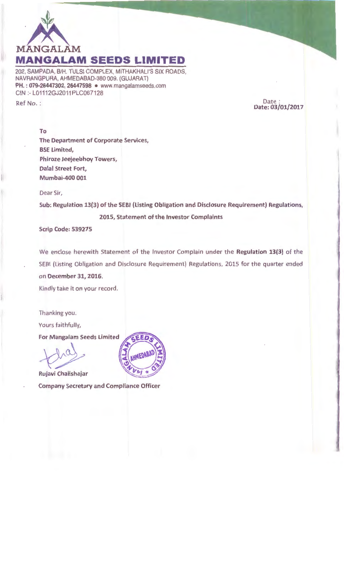

202, SAMPADA, B/H. TULSI COMPLEX, MITHAKHALI'S SIX ROADS, NAVRANGPURA, AHMEDABAD-380 009. (GUJARAT) PH.: 079-26447302, 26447598 • www.mangalamseeds.com GIN :- L01112GJ2011PLC067128

Ref No. :

Date Date:03/01/2017

To

The Department of Corporate Services, BSE Limited, Phiroze Jeejeebhoy Towers, Dalal Street Fort, Mumbai-400 001

Dear Sir,

Sub: Regulation 13{3) of the SEBI (Listing Obligation and Disclosure Requirement) Regulations, 2015, Statement of the Investor Complaints

Scrip Code: 539275

We enclose herewith Statement of the Investor Complain under the Regulation 13{3) of the SEBI (Listing Obligation and Disclosure Requirement) Regulations, 2015 for the quarter ended on December 31, 2016.

Kindly take it on your record.

Thanking you.

Yours faithfully,

**For Mangalam Seeds Limited** 

Rujavi Chalishajar

Company Secretary and Compliance Officer